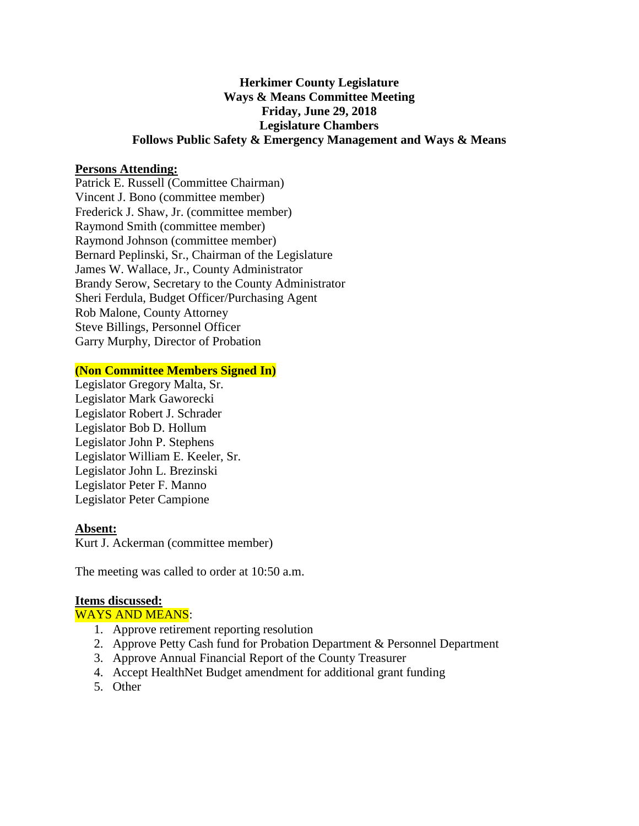# **Herkimer County Legislature Ways & Means Committee Meeting Friday, June 29, 2018 Legislature Chambers Follows Public Safety & Emergency Management and Ways & Means**

### **Persons Attending:**

Patrick E. Russell (Committee Chairman) Vincent J. Bono (committee member) Frederick J. Shaw, Jr. (committee member) Raymond Smith (committee member) Raymond Johnson (committee member) Bernard Peplinski, Sr., Chairman of the Legislature James W. Wallace, Jr., County Administrator Brandy Serow, Secretary to the County Administrator Sheri Ferdula, Budget Officer/Purchasing Agent Rob Malone, County Attorney Steve Billings, Personnel Officer Garry Murphy, Director of Probation

#### **(Non Committee Members Signed In)**

Legislator Gregory Malta, Sr. Legislator Mark Gaworecki Legislator Robert J. Schrader Legislator Bob D. Hollum Legislator John P. Stephens Legislator William E. Keeler, Sr. Legislator John L. Brezinski Legislator Peter F. Manno Legislator Peter Campione

#### **Absent:**

Kurt J. Ackerman (committee member)

The meeting was called to order at 10:50 a.m.

#### **Items discussed:**

WAYS AND MEANS:

- 1. Approve retirement reporting resolution
- 2. Approve Petty Cash fund for Probation Department & Personnel Department
- 3. Approve Annual Financial Report of the County Treasurer
- 4. Accept HealthNet Budget amendment for additional grant funding
- 5. Other